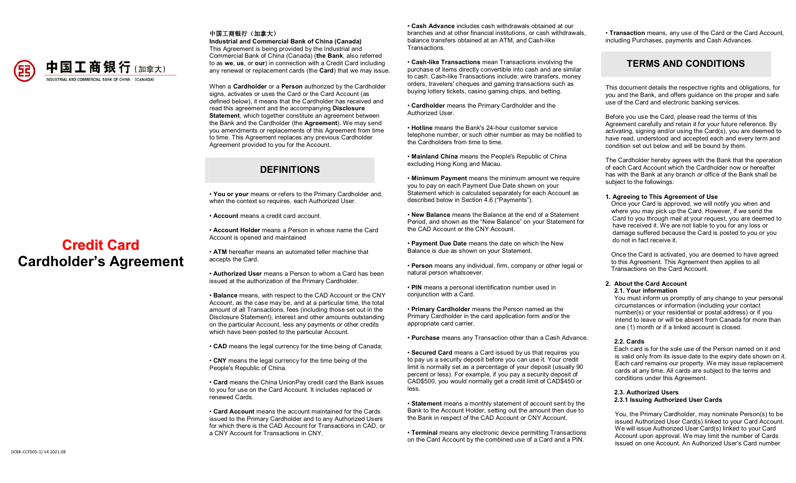

**Credit Card Cardholder's Agreement**

#### 中国工商银行(加拿大)

**Industrial and Commercial Bank of China (Canada)** This Agreement is being provided by the Industrial and Commercial Bank of China (Canada) (**the Bank**, also referred to as **we**, **us**, or **our**) in connection with a Credit Card including any renewal or replacement cards (the **Card**) that we may issue.

When a **Cardholder** or a **Person** authorized by the Cardholder signs, activates or uses the Card or the Card Account (as defined below), it means that the Cardholder has received and read this agreement and the accompanying **Disclosure Statement**, which together constitute an agreement between the Bank and the Cardholder (the **Agreement**). We may send you amendments or replacements of this Agreement from time to time. This Agreement replaces any previous Cardholder Agreement provided to you for the Account.

# **DEFINITIONS**

• **You or your** means or refers to the Primary Cardholder and, when the context so requires, each Authorized User.

• **Account** means a credit card account.

• **Account Holder** means a Person in whose name the Card Account is opened and maintained

• **ATM** hereafter means an automated teller machine that accepts the Card.

• **Authorized User** means a Person to whom a Card has been issued at the authorization of the Primary Cardholder.

• **Balance** means, with respect to the CAD Account or the CNY Account, as the case may be, and at a particular time, the total amount of all Transactions, fees (including those set out in the Disclosure Statement), interest and other amounts outstanding on the particular Account, less any payments or other credits which have been posted to the particular Account.

• **CAD** means the legal currency for the time being of Canada;

• **CNY** means the legal currency for the time being of the People's Republic of China.

• **Card** means the China UnionPay credit card the Bank issues to you for use on the Card Account. It includes replaced or renewed Cards.

• **Card Account** means the account maintained for the Cards issued to the Primary Cardholder and to any Authorized Users for which there is the CAD Account for Transactions in CAD, or a CNY Account for Transactions in CNY.

• **Cash Advance** includes cash withdrawals obtained at our branches and at other financial institutions, or cash withdrawals, balance transfers obtained at an ATM, and Cash-like **Transactions** 

• **Cash-like Transactions** mean Transactions involving the purchase of items directly convertible into cash and are similar to cash. Cash-like Transactions include: wire transfers, money orders, travelers' cheques and gaming transactions such as buying lottery tickets, casino gaming chips, and betting.

• **Cardholder** means the Primary Cardholder and the Authorized User.

• **Hotline** means the Bank's 24-hour customer service telephone number, or such other number as may be notified to the Cardholders from time to time.

• **Mainland China** means the People's Republic of China excluding Hong Kong and Macau.

• **Minimum Payment** means the minimum amount we require you to pay on each Payment Due Date shown on your Statement which is calculated separately for each Account as described below in Section 4.6 ("Payments").

• **New Balance** means the Balance at the end of a Statement Period, and shown as the "New Balance" on your Statement for the CAD Account or the CNY Account.

• **Payment Due Date** means the date on which the New Balance is due as shown on your Statement.

• **Person** means any individual, firm, company or other legal or natural person whatsoever.

• **PIN** means a personal identification number used in conjunction with a Card.

• **Primary Cardholder** means the Person named as the Primary Cardholder in the card application form and/or the appropriate card carrier.

• **Purchase** means any Transaction other than a Cash Advance.

• **Secured Card** means a Card issued by us that requires you to pay us a security deposit before you can use it. Your credit limit is normally set as a percentage of your deposit (usually 90 percent or less). For example, if you pay a security deposit of CAD\$500, you would normally get a credit limit of CAD\$450 or less.

• **Statement** means a monthly statement of account sent by the Bank to the Account Holder, setting out the amount then due to the Bank in respect of the CAD Account or CNY Account.

• **Terminal** means any electronic device permitting Transactions on the Card Account by the combined use of a Card and a PIN.

• **Transaction** means, any use of the Card or the Card Account, including Purchases, payments and Cash Advances.

# **TERMS AND CONDITIONS**

This document details the respective rights and obligations, for you and the Bank, and offers guidance on the proper and safe use of the Card and electronic banking services.

Before you use the Card, please read the terms of this Agreement carefully and retain it for your future reference. By activating, signing and/or using the Card(s), you are deemed to have read, understood and accepted each and every term and condition set out below and will be bound by them.

The Cardholder hereby agrees with the Bank that the operation of each Card Account which the Cardholder now or hereafter has with the Bank at any branch or office of the Bank shall be subject to the followings:

#### **1. Agreeing to This Agreement of Use**

Once your Card is approved, we will notify you when and where you may pick up the Card. However, if we send the Card to you through mail at your request, you are deemed to have received it. We are not liable to you for any loss or damage suffered because the Card is posted to you or you do not in fact receive it.

Once the Card is activated, you are deemed to have agreed to this Agreement. This Agreement then applies to all Transactions on the Card Account.

#### **2. About the Card Account 2.1. Your information**

 You must inform us promptly of any change to your personal circumstances or information (including your contact number(s) or your residential or postal address) or if you intend to leave or will be absent from Canada for more than one (1) month or if a linked account is closed.

#### **2.2. Cards**

 Each card is for the sole use of the Person named on it and is valid only from its issue date to the expiry date shown on it. Each card remains our property. We may issue replacement cards at any time. All cards are subject to the terms and conditions under this Agreement.

#### **2.3. Authorized Users 2.3.1 Issuing Authorized User Cards**

You, the Primary Cardholder, may nominate Person(s) to be issued Authorized User Card(s) linked to your Card Account. We will issue Authorized User Card(s) linked to your Card Account upon approval. We may limit the number of Cards issued on one Account. An Authorized User's Card number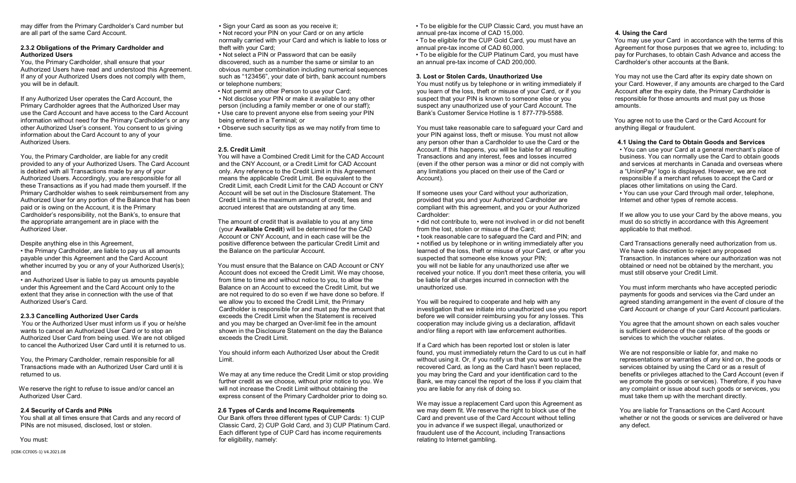may differ from the Primary Cardholder's Card number but are all part of the same Card Account.

#### **2.3.2 Obligations of the Primary Cardholder and Authorized Users**

You, the Primary Cardholder, shall ensure that your Authorized Users have read and understood this Agreement. If any of your Authorized Users does not comply with them, you will be in default.

If any Authorized User operates the Card Account, the Primary Cardholder agrees that the Authorized User may use the Card Account and have access to the Card Account information without need for the Primary Cardholder's or any other Authorized User's consent. You consent to us giving information about the Card Account to any of your Authorized Users.

You, the Primary Cardholder, are liable for any credit provided to any of your Authorized Users. The Card Account is debited with all Transactions made by any of your Authorized Users. Accordingly, you are responsible for all these Transactions as if you had made them yourself. If the Primary Cardholder wishes to seek reimbursement from any Authorized User for any portion of the Balance that has been paid or is owing on the Account, it is the Primary Cardholder's responsibility, not the Bank's, to ensure that the appropriate arrangement are in place with the Authorized User.

Despite anything else in this Agreement, • the Primary Cardholder, are liable to pay us all amounts payable under this Agreement and the Card Account whether incurred by you or any of your Authorized User(s); and

• an Authorized User is liable to pay us amounts payable under this Agreement and the Card Account only to the extent that they arise in connection with the use of that Authorized User's Card.

#### **2.3.3 Cancelling Authorized User Cards**

 You or the Authorized User must inform us if you or he/she wants to cancel an Authorized User Card or to stop an Authorized User Card from being used. We are not obliged to cancel the Authorized User Card until it is returned to us.

 You, the Primary Cardholder, remain responsible for all Transactions made with an Authorized User Card until it is returned to us.

We reserve the right to refuse to issue and/or cancel an Authorized User Card.

#### **2.4 Security of Cards and PINs**

 You shall at all times ensure that Cards and any record of PINs are not misused, disclosed, lost or stolen.

You must:

(ICBK-CCF005-1) V4.2021.08

• Sign your Card as soon as you receive it;

• Not record your PIN on your Card or on any article normally carried with your Card and which is liable to loss or theft with your Card;

• Not select a PIN or Password that can be easily discovered, such as a number the same or similar to an obvious number combination including numerical sequences such as "123456", your date of birth, bank account numbers or telephone numbers;

- Not permit any other Person to use your Card;
- Not disclose your PIN or make it available to any other person (including a family member or one of our staff); • Use care to prevent anyone else from seeing your PIN
- being entered in a Terminal; or • Observe such security tips as we may notify from time to time.

#### **2.5. Credit Limit**

 You will have a Combined Credit Limit for the CAD Account and the CNY Account, or a Credit Limit for CAD Account only. Any reference to the Credit Limit in this Agreement means the applicable Credit Limit. Be equivalent to the Credit Limit, each Credit Limit for the CAD Account or CNY Account will be set out in the Disclosure Statement. The Credit Limit is the maximum amount of credit, fees and accrued interest that are outstanding at any time.

 The amount of credit that is available to you at any time (your **Available Credit**) will be determined for the CAD Account or CNY Account, and in each case will be the positive difference between the particular Credit Limit and the Balance on the particular Account.

You must ensure that the Balance on CAD Account or CNY Account does not exceed the Credit Limit. We may choose, from time to time and without notice to you, to allow the Balance on an Account to exceed the Credit Limit, but we are not required to do so even if we have done so before. If we allow you to exceed the Credit Limit, the Primary Cardholder is responsible for and must pay the amount that exceeds the Credit Limit when the Statement is received and you may be charged an Over-limit fee in the amount shown in the Disclosure Statement on the day the Balance exceeds the Credit Limit.

You should inform each Authorized User about the Credit Limit.

We may at any time reduce the Credit Limit or stop providing further credit as we choose, without prior notice to you. We will not increase the Credit Limit without obtaining the express consent of the Primary Cardholder prior to doing so.

#### **2.6 Types of Cards and Income Requirements**

Our Bank offers three different types of CUP Cards: 1) CUP Classic Card, 2) CUP Gold Card, and 3) CUP Platinum Card. Each different type of CUP Card has income requirements for eligibility, namely:

• To be eligible for the CUP Classic Card, you must have an annual pre-tax income of CAD 15,000. • To be eligible for the CUP Gold Card, you must have an

annual pre-tax income of CAD 60,000.

• To be eligible for the CUP Platinum Card, you must have an annual pre-tax income of CAD 200,000.

#### **3. Lost or Stolen Cards, Unauthorized Use**

You must notify us by telephone or in writing immediately if you learn of the loss, theft or misuse of your Card, or if you suspect that your PIN is known to someone else or you suspect any unauthorized use of your Card Account. The Bank's Customer Service Hotline is 1 877-779-5588.

You must take reasonable care to safeguard your Card and your PIN against loss, theft or misuse. You must not allow any person other than a Cardholder to use the Card or the Account. If this happens, you will be liable for all resulting Transactions and any interest, fees and losses incurred (even if the other person was a minor or did not comply with any limitations you placed on their use of the Card or Account).

If someone uses your Card without your authorization, provided that you and your Authorized Cardholder are compliant with this agreement, and you or your Authorized Cardholder:

• did not contribute to, were not involved in or did not benefit from the lost, stolen or misuse of the Card;

• took reasonable care to safeguard the Card and PIN; and • notified us by telephone or in writing immediately after you learned of the loss, theft or misuse of your Card, or after you suspected that someone else knows your PIN; you will not be liable for any unauthorized use after we received your notice. If you don't meet these criteria, you will be liable for all charges incurred in connection with the unauthorized use.

You will be required to cooperate and help with any investigation that we initiate into unauthorized use you report before we will consider reimbursing you for any losses. This cooperation may include giving us a declaration, affidavit and/or filing a report with law enforcement authorities.

If a Card which has been reported lost or stolen is later found, you must immediately return the Card to us cut in half without using it. Or, if you notify us that you want to use the recovered Card, as long as the Card hasn't been replaced, you may bring the Card and your identification card to the Bank, we may cancel the report of the loss if you claim that you are liable for any risk of doing so.

We may issue a replacement Card upon this Agreement as we may deem fit. We reserve the right to block use of the Card and prevent use of the Card Account without telling you in advance if we suspect illegal, unauthorized or fraudulent use of the Account, including Transactions relating to Internet gambling.

#### **4. Using the Card**

You may use your Card in accordance with the terms of this Agreement for those purposes that we agree to, including: to pay for Purchases, to obtain Cash Advance and access the Cardholder's other accounts at the Bank.

You may not use the Card after its expiry date shown on your Card. However, if any amounts are charged to the Card Account after the expiry date, the Primary Cardholder is responsible for those amounts and must pay us those amounts.

 You agree not to use the Card or the Card Account for anything illegal or fraudulent.

#### **4.1 Using the Card to Obtain Goods and Services**

• You can use your Card at a general merchant's place of business. You can normally use the Card to obtain goods and services at merchants in Canada and overseas where a "UnionPay" logo is displayed. However, we are not responsible if a merchant refuses to accept the Card or places other limitations on using the Card. • You can use your Card through mail order, telephone, Internet and other types of remote access.

If we allow you to use your Card by the above means, you must do so strictly in accordance with this Agreement applicable to that method.

Card Transactions generally need authorization from us. We have sole discretion to reject any proposed Transaction. In instances where our authorization was not obtained or need not be obtained by the merchant, you must still observe your Credit Limit.

You must inform merchants who have accepted periodic payments for goods and services via the Card under an agreed standing arrangement in the event of closure of the Card Account or change of your Card Account particulars.

You agree that the amount shown on each sales voucher is sufficient evidence of the cash price of the goods or services to which the voucher relates.

We are not responsible or liable for, and make no representations or warranties of any kind on, the goods or services obtained by using the Card or as a result of benefits or privileges attached to the Card Account (even if we promote the goods or services). Therefore, if you have any complaint or issue about such goods or services, you must take them up with the merchant directly.

You are liable for Transactions on the Card Account whether or not the goods or services are delivered or have any defect.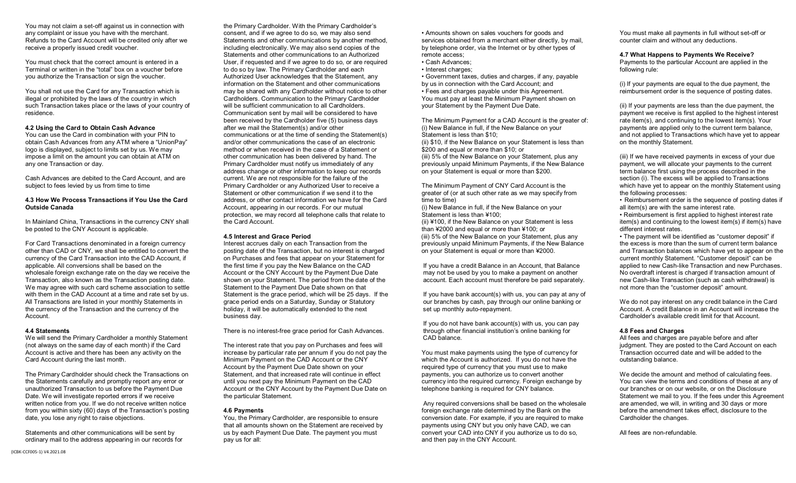You may not claim a set-off against us in connection with any complaint or issue you have with the merchant. Refunds to the Card Account will be credited only after we receive a properly issued credit voucher.

You must check that the correct amount is entered in a Terminal or written in the "total" box on a voucher before you authorize the Transaction or sign the voucher.

You shall not use the Card for any Transaction which is illegal or prohibited by the laws of the country in which such Transaction takes place or the laws of your country of residence.

#### **4.2 Using the Card to Obtain Cash Advance**

You can use the Card in combination with your PIN to obtain Cash Advances from any ATM where a "UnionPay" logo is displayed, subject to limits set by us. We may impose a limit on the amount you can obtain at ATM on any one Transaction or day.

Cash Advances are debited to the Card Account, and are subject to fees levied by us from time to time

#### **4.3 How We Process Transactions if You Use the Card Outside Canada**

In Mainland China, Transactions in the currency CNY shall be posted to the CNY Account is applicable.

For Card Transactions denominated in a foreign currency other than CAD or CNY, we shall be entitled to convert the currency of the Card Transaction into the CAD Account, if applicable. All conversions shall be based on the wholesale foreign exchange rate on the day we receive the Transaction, also known as the Transaction posting date. We may agree with such card scheme association to settle with them in the CAD Account at a time and rate set by us. All Transactions are listed in your monthly Statements in the currency of the Transaction and the currency of the Account.

#### **4.4 Statements**

We will send the Primary Cardholder a monthly Statement (not always on the same day of each month) if the Card Account is active and there has been any activity on the Card Account during the last month.

The Primary Cardholder should check the Transactions on the Statements carefully and promptly report any error or unauthorized Transaction to us before the Payment Due Date. We will investigate reported errors if we receive written notice from you. If we do not receive written notice from you within sixty (60) days of the Transaction's posting date, you lose any right to raise objections.

Statements and other communications will be sent by ordinary mail to the address appearing in our records for the Primary Cardholder. With the Primary Cardholder's consent, and if we agree to do so, we may also send Statements and other communications by another method, including electronically. We may also send copies of the Statements and other communications to an Authorized User, if requested and if we agree to do so, or are required to do so by law. The Primary Cardholder and each Authorized User acknowledges that the Statement, any information on the Statement and other communications may be shared with any Cardholder without notice to other Cardholders. Communication to the Primary Cardholder will be sufficient communication to all Cardholders. Communication sent by mail will be considered to have been received by the Cardholder five (5) business days after we mail the Statement(s) and/or other communications or at the time of sending the Statement(s) and/or other communications the case of an electronic method or when received in the case of a Statement or other communication has been delivered by hand. The Primary Cardholder must notify us immediately of any address change or other information to keep our records current. We are not responsible for the failure of the Primary Cardholder or any Authorized User to receive a Statement or other communication if we send it to the address, or other contact information we have for the Card Account, appearing in our records. For our mutual protection, we may record all telephone calls that relate to the Card Account.

#### **4.5 Interest and Grace Period**

Interest accrues daily on each Transaction from the posting date of the Transaction, but no interest is charged on Purchases and fees that appear on your Statement for the first time if you pay the New Balance on the CAD Account or the CNY Account by the Payment Due Date shown on your Statement. The period from the date of the Statement to the Payment Due Date shown on that Statement is the grace period, which will be 25 days. If the grace period ends on a Saturday, Sunday or Statutory holiday, it will be automatically extended to the next business day.

There is no interest-free grace period for Cash Advances.

The interest rate that you pay on Purchases and fees will increase by particular rate per annum if you do not pay the Minimum Payment on the CAD Account or the CNY Account by the Payment Due Date shown on your Statement, and that increased rate will continue in effect until you next pay the Minimum Payment on the CAD Account or the CNY Account by the Payment Due Date on the particular Statement.

#### **4.6 Payments**

You, the Primary Cardholder, are responsible to ensure that all amounts shown on the Statement are received by us by each Payment Due Date. The payment you must pay us for all:

• Amounts shown on sales vouchers for goods and services obtained from a merchant either directly, by mail. by telephone order, via the Internet or by other types of remote access;

- Cash Advances;
- Interest charges:

• Government taxes, duties and charges, if any, payable by us in connection with the Card Account; and • Fees and charges payable under this Agreement. You must pay at least the Minimum Payment shown on your Statement by the Payment Due Date.

The Minimum Payment for a CAD Account is the greater of: (i) New Balance in full, if the New Balance on your Statement is less than \$10; (ii) \$10, if the New Balance on your Statement is less than \$200 and equal or more than \$10; or (iii) 5% of the New Balance on your Statement, plus any previously unpaid Minimum Payments, if the New Balance on your Statement is equal or more than \$200.

The Minimum Payment of CNY Card Account is the greater of (or at such other rate as we may specify from time to time)

(i) New Balance in full, if the New Balance on your Statement is less than ¥100;

(ii) ¥100, if the New Balance on your Statement is less than ¥2000 and equal or more than ¥100; or (iii) 5% of the New Balance on your Statement, plus any

 previously unpaid Minimum Payments, if the New Balance on your Statement is equal or more than ¥2000.

 If you have a credit Balance in an Account, that Balance may not be used by you to make a payment on another account. Each account must therefore be paid separately.

 If you have bank account(s) with us, you can pay at any of our branches by cash, pay through our online banking or set up monthly auto-repayment.

 If you do not have bank account(s) with us, you can pay through other financial institution's online banking for CAD balance.

You must make payments using the type of currency for which the Account is authorized. If you do not have the required type of currency that you must use to make payments, you can authorize us to convert another currency into the required currency. Foreign exchange by telephone banking is required for CNY balance.

Any required conversions shall be based on the wholesale foreign exchange rate determined by the Bank on the conversion date. For example, if you are required to make payments using CNY but you only have CAD, we can convert your CAD into CNY if you authorize us to do so, and then pay in the CNY Account.

You must make all payments in full without set-off or counter claim and without any deductions.

#### **4.7 What Happens to Payments We Receive?**

Payments to the particular Account are applied in the following rule:

(i) If your payments are equal to the due payment, the reimbursement order is the sequence of posting dates.

(ii) If your payments are less than the due payment, the payment we receive is first applied to the highest interest rate item(s), and continuing to the lowest item(s). Your payments are applied only to the current term balance, and not applied to Transactions which have yet to appear on the monthly Statement.

(iii) If we have received payments in excess of your due payment, we will allocate your payments to the current term balance first using the process described in the section (i). The excess will be applied to Transactions which have yet to appear on the monthly Statement using the following processes:

• Reimbursement order is the sequence of posting dates if all item(s) are with the same interest rate.

• Reimbursement is first applied to highest interest rate item(s) and continuing to the lowest item(s) if item(s) have different interest rates.

• The payment will be identified as "customer deposit" if the excess is more than the sum of current term balance and Transaction balances which have yet to appear on the current monthly Statement. "Customer deposit" can be applied to new Cash-like Transaction and new Purchases. No overdraft interest is charged if transaction amount of new Cash-like Transaction (such as cash withdrawal) is not more than the "customer deposit" amount.

We do not pay interest on any credit balance in the Card Account. A credit Balance in an Account will increase the Cardholder's available credit limit for that Account.

#### **4.8 Fees and Charges**

All fees and charges are payable before and after judgment. They are posted to the Card Account on each Transaction occurred date and will be added to the outstanding balance.

We decide the amount and method of calculating fees. You can view the terms and conditions of these at any of our branches or on our website, or on the Disclosure Statement we mail to you. If the fees under this Agreement are amended, we will, in writing and 30 days or more before the amendment takes effect, disclosure to the Cardholder the changes.

All fees are non-refundable.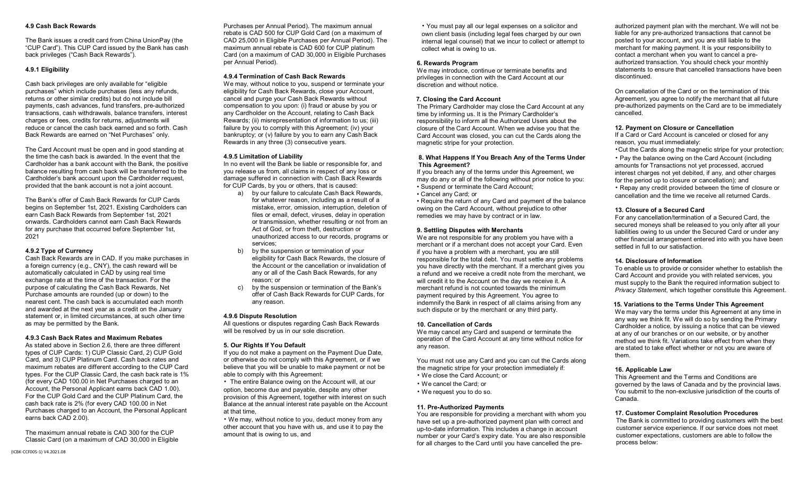#### **4.9 Cash Back Rewards**

The Bank issues a credit card from China UnionPay (the "CUP Card"). This CUP Card issued by the Bank has cash back privileges ("Cash Back Rewards").

#### **4.9.1 Eligibility**

Cash back privileges are only available for "eligible purchases" which include purchases (less any refunds, returns or other similar credits) but do not include bill payments, cash advances, fund transfers, pre-authorized transactions, cash withdrawals, balance transfers, interest charges or fees, credits for returns, adjustments will reduce or cancel the cash back earned and so forth. Cash Back Rewards are earned on "Net Purchases" only.

The Card Account must be open and in good standing at the time the cash back is awarded. In the event that the Cardholder has a bank account with the Bank, the positive balance resulting from cash back will be transferred to the Cardholder's bank account upon the Cardholder request, provided that the bank account is not a joint account.

The Bank's offer of Cash Back Rewards for CUP Cards begins on September 1st, 2021. Existing Cardholders can earn Cash Back Rewards from September 1st, 2021 onwards. Cardholders cannot earn Cash Back Rewards for any purchase that occurred before September 1st, 2021

#### **4.9.2 Type of Currency**

Cash Back Rewards are in CAD. If you make purchases in a foreign currency (e.g., CNY), the cash reward will be automatically calculated in CAD by using real time exchange rate at the time of the transaction. For the purpose of calculating the Cash Back Rewards, Net Purchase amounts are rounded (up or down) to the nearest cent. The cash back is accumulated each month and awarded at the next year as a credit on the January statement or, in limited circumstances, at such other time as may be permitted by the Bank.

#### **4.9.3 Cash Back Rates and Maximum Rebates**

As stated above in Section 2.6, there are three different types of CUP Cards: 1) CUP Classic Card, 2) CUP Gold Card, and 3) CUP Platinum Card. Cash back rates and maximum rebates are different according to the CUP Card types. For the CUP Classic Card, the cash back rate is 1% (for every CAD 100.00 in Net Purchases charged to an Account, the Personal Applicant earns back CAD 1.00). For the CUP Gold Card and the CUP Platinum Card, the cash back rate is 2% (for every CAD 100.00 in Net Purchases charged to an Account, the Personal Applicant earns back CAD 2.00).

The maximum annual rebate is CAD 300 for the CUP Classic Card (on a maximum of CAD 30,000 in Eligible Purchases per Annual Period). The maximum annual rebate is CAD 500 for CUP Gold Card (on a maximum of CAD 25,000 in Eligible Purchases per Annual Period). The maximum annual rebate is CAD 600 for CUP platinum Card (on a maximum of CAD 30,000 in Eligible Purchases per Annual Period).

#### **4.9.4 Termination of Cash Back Rewards**

We may, without notice to you, suspend or terminate your eligibility for Cash Back Rewards, close your Account, cancel and purge your Cash Back Rewards without compensation to you upon: (i) fraud or abuse by you or any Cardholder on the Account, relating to Cash Back Rewards; (ii) misrepresentation of information to us; (iii) failure by you to comply with this Agreement; (iv) your bankruptcy; or (v) failure by you to earn any Cash Back Rewards in any three (3) consecutive years.

#### **4.9.5 Limitation of Liability**

In no event will the Bank be liable or responsible for, and you release us from, all claims in respect of any loss or damage suffered in connection with Cash Back Rewards for CUP Cards, by you or others, that is caused:

- a) by our failure to calculate Cash Back Rewards, for whatever reason, including as a result of a mistake, error, omission, interruption, deletion of files or email, defect, viruses, delay in operation or transmission, whether resulting or not from an Act of God, or from theft, destruction or unauthorized access to our records, programs or services;
- b) by the suspension or termination of your eligibility for Cash Back Rewards, the closure of the Account or the cancellation or invalidation of any or all of the Cash Back Rewards, for any reason; or
- c) by the suspension or termination of the Bank's offer of Cash Back Rewards for CUP Cards, for any reason.

#### **4.9.6 Dispute Resolution**

All questions or disputes regarding Cash Back Rewards will be resolved by us in our sole discretion.

#### **5. Our Rights If You Default**

If you do not make a payment on the Payment Due Date, or otherwise do not comply with this Agreement, or if we believe that you will be unable to make payment or not be able to comply with this Agreement:

• The entire Balance owing on the Account will, at our option, become due and payable, despite any other provision of this Agreement, together with interest on such Balance at the annual interest rate payable on the Account at that time,

• We may, without notice to you, deduct money from any other account that you have with us, and use it to pay the amount that is owing to us, and

• You must pay all our legal expenses on a solicitor and own client basis (including legal fees charged by our own internal legal counsel) that we incur to collect or attempt to collect what is owing to us.

#### **6. Rewards Program**

We may introduce, continue or terminate benefits and privileges in connection with the Card Account at our discretion and without notice.

#### **7. Closing the Card Account**

The Primary Cardholder may close the Card Account at any time by informing us. It is the Primary Cardholder's responsibility to inform all the Authorized Users about the closure of the Card Account. When we advise you that the Card Account was closed, you can cut the Cards along the magnetic stripe for your protection.

#### **8. What Happens If You Breach Any of the Terms Under This Agreement?**

If you breach any of the terms under this Agreement, we may do any or all of the following without prior notice to you: • Suspend or terminate the Card Account;

• Cancel any Card; or

• Require the return of any Card and payment of the balance owing on the Card Account, without prejudice to other remedies we may have by contract or in law.

#### **9. Settling Disputes with Merchants**

We are not responsible for any problem you have with a merchant or if a merchant does not accept your Card. Even if you have a problem with a merchant, you are still responsible for the total debt. You must settle any problems you have directly with the merchant. If a merchant gives you a refund and we receive a credit note from the merchant, we will credit it to the Account on the day we receive it. A merchant refund is not counted towards the minimum payment required by this Agreement. You agree to indemnify the Bank in respect of all claims arising from any such dispute or by the merchant or any third party.

#### **10. Cancellation of Cards**

We may cancel any Card and suspend or terminate the operation of the Card Account at any time without notice for any reason.

You must not use any Card and you can cut the Cards along the magnetic stripe for your protection immediately if:

- We close the Card Account; or
- We cancel the Card; or
- We request you to do so.

#### **11. Pre-Authorized Payments**

You are responsible for providing a merchant with whom you have set up a pre-authorized payment plan with correct and up-to-date information. This includes a change in account number or your Card's expiry date. You are also responsible for all charges to the Card until you have cancelled the pre-

authorized payment plan with the merchant. We will not be liable for any pre-authorized transactions that cannot be posted to your account, and you are still liable to the merchant for making payment. It is your responsibility to contact a merchant when you want to cancel a preauthorized transaction. You should check your monthly statements to ensure that cancelled transactions have been discontinued.

On cancellation of the Card or on the termination of this Agreement, you agree to notify the merchant that all future pre-authorized payments on the Card are to be immediately cancelled.

#### **12. Payment on Closure or Cancellation**

If a Card or Card Account is canceled or closed for any reason, you must immediately:

•Cut the Cards along the magnetic stripe for your protection;

• Pay the balance owing on the Card Account (including amounts for Transactions not yet processed, accrued interest charges not yet debited, if any, and other charges for the period up to closure or cancellation); and

• Repay any credit provided between the time of closure or cancellation and the time we receive all returned Cards.

#### **13. Closure of a Secured Card**

For any cancellation/termination of a Secured Card, the secured moneys shall be released to you only after all your liabilities owing to us under the Secured Card or under any other financial arrangement entered into with you have been settled in full to our satisfaction.

#### **14. Disclosure of Information**

To enable us to provide or consider whether to establish the Card Account and provide you with related services, you must supply to the Bank the required information subject to *Privacy Statement*, which together constitute this Agreement.

#### **15. Variations to the Terms Under This Agreement**

We may vary the terms under this Agreement at any time in any way we think fit. We will do so by sending the Primary Cardholder a notice, by issuing a notice that can be viewed at any of our branches or on our website, or by another method we think fit. Variations take effect from when they are stated to take effect whether or not you are aware of them.

#### **16. Applicable Law**

This Agreement and the Terms and Conditions are governed by the laws of Canada and by the provincial laws. You submit to the non-exclusive jurisdiction of the courts of Canada.

#### **17. Customer Complaint Resolution Procedures**

The Bank is committed to providing customers with the best customer service experience. If our service does not meet customer expectations, customers are able to follow the process below: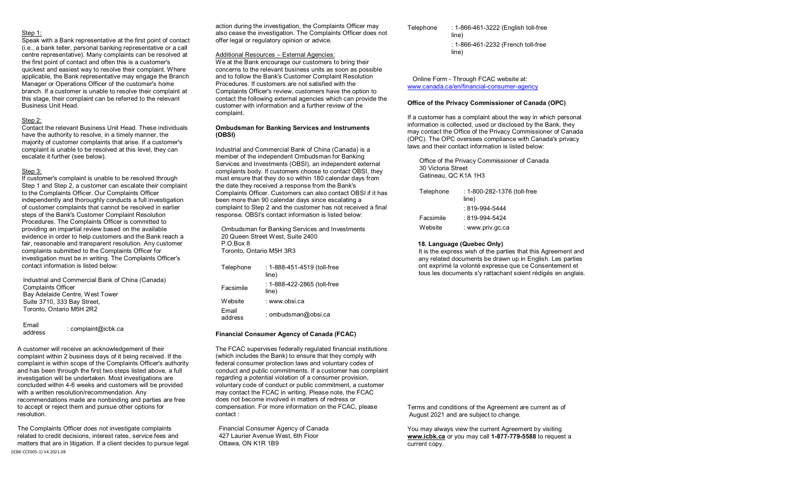#### Step 1:

Speak with a Bank representative at the first point of contact (i.e., a bank teller, personal banking representative or a call centre representative). Many complaints can be resolved at the first point of contact and often this is a customer's quickest and easiest way to resolve their complaint. Where applicable, the Bank representative may engage the Branch Manager or Operations Officer of the customer's home branch. If a customer is unable to resolve their complaint at this stage, their complaint can be referred to the relevant Business Unit Head.

#### Step 2:

Contact the relevant Business Unit Head. These individuals have the authority to resolve, in a timely manner, the majority of customer complaints that arise. If a customer's complaint is unable to be resolved at this level, they can escalate it further (see below).

#### Step 3:

If customer's complaint is unable to be resolved through Step 1 and Step 2, a customer can escalate their complaint to the Complaints Officer. Our Complaints Officer independently and thoroughly conducts a full investigation of customer complaints that cannot be resolved in earlier steps of the Bank's Customer Complaint Resolution Procedures. The Complaints Officer is committed to providing an impartial review based on the available evidence in order to help customers and the Bank reach a fair, reasonable and transparent resolution. Any customer complaints submitted to the Complaints Officer for investigation must be in writing. The Complaints Officer's contact information is listed below:

Industrial and Commercial Bank of China (Canada) Complaints Officer Bay Adelaide Centre, West Tower Suite 3710, 333 Bay Street, Toronto, Ontario M5H 2R2

Email<br>address : complaint@icbk.ca

A customer will receive an acknowledgement of their complaint within 2 business days of it being received. If the complaint is within scope of the Complaints Officer's authority and has been through the first two steps listed above, a full investigation will be undertaken. Most investigations are concluded within 4-6 weeks and customers will be provided with a written resolution/recommendation. Any recommendations made are nonbinding and parties are free to accept or reject them and pursue other options for resolution.

(ICBK-CCF005-1) V4.2021.08 The Complaints Officer does not investigate complaints related to credit decisions, interest rates, service fees and matters that are in litigation. If a client decides to pursue legal action during the investigation, the Complaints Officer may also cease the investigation. The Complaints Officer does not offer legal or regulatory opinion or advice.

#### Additional Resources – External Agencies:

We at the Bank encourage our customers to bring their concerns to the relevant business units as soon as possible and to follow the Bank's Customer Complaint Resolution Procedures. If customers are not satisfied with the Complaints Officer's review, customers have the option to contact the following external agencies which can provide the customer with information and a further review of the complaint.

#### **Ombudsman for Banking Services and Instruments (OBSI)**

Industrial and Commercial Bank of China (Canada) is a member of the independent Ombudsman for Banking Services and Investments (OBSI), an independent external complaints body. If customers choose to contact OBSI, they must ensure that they do so within 180 calendar days from the date they received a response from the Bank's Complaints Officer. Customers can also contact OBSI if it has been more than 90 calendar days since escalating a complaint to Step 2 and the customer has not received a final response. OBSI's contact information is listed below:

Ombudsman for Banking Services and Investments 20 Queen Street West, Suite 2400 P.O.Box 8 Toronto, Ontario M5H 3R3

| Telephone        | : 1-888-451-4519 (toll-free<br>line) |
|------------------|--------------------------------------|
| Facsimile        | : 1-888-422-2865 (toll-free<br>line) |
| Website          | : www.obsi.ca                        |
| Email<br>address | : ombudsman@obsi.ca                  |

#### **Financial Consumer Agency of Canada (FCAC)**

The FCAC supervises federally regulated financial institutions (which includes the Bank) to ensure that they comply with federal consumer protection laws and voluntary codes of conduct and public commitments. If a customer has complaint regarding a potential violation of a consumer provision, voluntary code of conduct or public commitment, a customer may contact the FCAC in writing. Please note, the FCAC does not become involved in matters of redress or compensation. For more information on the FCAC, please contact :

Financial Consumer Agency of Canada 427 Laurier Avenue West, 6th Floor Ottawa, ON K1R 1B9

Telephone : 1-866-461-3222 (English toll-free line) : 1-866-461-2232 (French toll-free line)

 Online Form - Through FCAC website at: www.canada.ca/en/financial-consumer-agency

#### **Office of the Privacy Commissioner of Canada (OPC)**

If a customer has a complaint about the way in which personal information is collected, used or disclosed by the Bank, they may contact the Office of the Privacy Commissioner of Canada (OPC). The OPC oversees compliance with Canada's privacy laws and their contact information is listed below:

Office of the Privacy Commissioner of Canada 30 Victoria Street Gatineau, QC K1A 1H3

| Telephone | : 1-800-282-1376 (toll-free<br>line) |
|-----------|--------------------------------------|
|           | $:819-994-5444$                      |
| Facsimile | $:819-994-5424$                      |
| Website   | : www.priv.gc.ca                     |

#### **18. Language (Quebec Only)**

It is the express wish of the parties that this Agreement and any related documents be drawn up in English. Les parties ont exprimé la volonté expresse que ce Consentement et tous les documents s'y rattachant soient rédigés en anglais.

Terms and conditions of the Agreement are current as of August 2021 and are subject to change.

You may always view the current Agreement by visiting **www.icbk.ca** or you may call **1-877-779-5588** to request a current copy.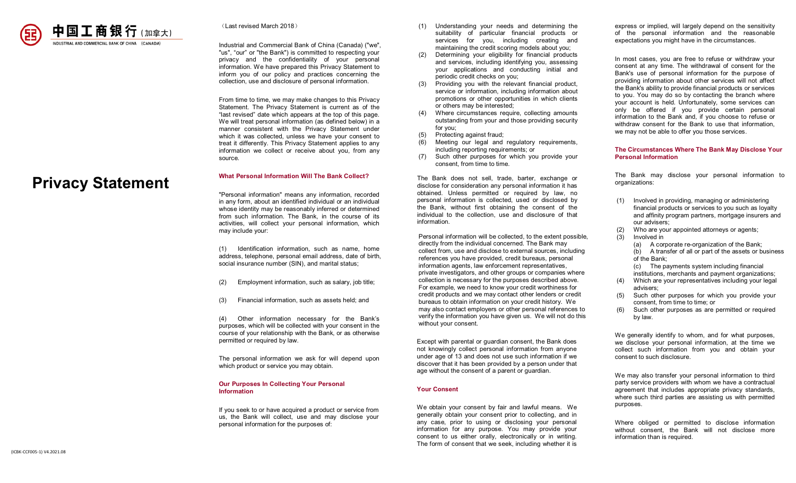

(Last revised March 2018)

Industrial and Commercial Bank of China (Canada) ("we", "us", "our" or "the Bank") is committed to respecting your privacy and the confidentiality of your personal information. We have prepared this Privacy Statement to inform you of our policy and practices concerning the collection, use and disclosure of personal information.

From time to time, we may make changes to this Privacy Statement. The Privacy Statement is current as of the "last revised" date which appears at the top of this page. We will treat personal information (as defined below) in a manner consistent with the Privacy Statement under which it was collected, unless we have your consent to treat it differently. This Privacy Statement applies to any information we collect or receive about you, from any source.

# **Privacy Statement**

**What Personal Information Will The Bank Collect?** 

"Personal information" means any information, recorded in any form, about an identified individual or an individual whose identity may be reasonably inferred or determined from such information. The Bank, in the course of its activities, will collect your personal information, which may include your:

(1) Identification information, such as name, home address, telephone, personal email address, date of birth, social insurance number (SIN), and marital status;

- (2) Employment information, such as salary, job title;
- (3) Financial information, such as assets held; and

(4) Other information necessary for the Bank's purposes, which will be collected with your consent in the course of your relationship with the Bank, or as otherwise permitted or required by law.

The personal information we ask for will depend upon which product or service you may obtain.

#### **Our Purposes In Collecting Your Personal Information**

If you seek to or have acquired a product or service from us, the Bank will collect, use and may disclose your personal information for the purposes of:

- (1) Understanding your needs and determining the suitability of particular financial products or services for you, including creating and maintaining the credit scoring models about you;
- (2) Determining your eligibility for financial products and services, including identifying you, assessing your applications and conducting initial and periodic credit checks on you;
- (3) Providing you with the relevant financial product, service or information, including information about promotions or other opportunities in which clients or others may be interested;
- (4) Where circumstances require, collecting amounts outstanding from your and those providing security for you;
- (5) Protecting against fraud;
- Meeting our legal and regulatory requirements, including reporting requirements; or
- (7) Such other purposes for which you provide your consent, from time to time.

The Bank does not sell, trade, barter, exchange or disclose for consideration any personal information it has obtained. Unless permitted or required by law, no personal information is collected, used or disclosed by the Bank, without first obtaining the consent of the individual to the collection, use and disclosure of that information.

Personal information will be collected, to the extent possible, directly from the individual concerned. The Bank may collect from, use and disclose to external sources, including references you have provided, credit bureaus, personal information agents, law enforcement representatives, private investigators, and other groups or companies where collection is necessary for the purposes described above. For example, we need to know your credit worthiness for credit products and we may contact other lenders or credit bureaus to obtain information on your credit history. We may also contact employers or other personal references to verify the information you have given us. We will not do this without your consent.

Except with parental or guardian consent, the Bank does not knowingly collect personal information from anyone under age of 13 and does not use such information if we discover that it has been provided by a person under that age without the consent of a parent or guardian.

#### **Your Consent**

We obtain your consent by fair and lawful means. We generally obtain your consent prior to collecting, and in any case, prior to using or disclosing your personal information for any purpose. You may provide your consent to us either orally, electronically or in writing. The form of consent that we seek, including whether it is express or implied, will largely depend on the sensitivity of the personal information and the reasonable expectations you might have in the circumstances.

In most cases, you are free to refuse or withdraw your consent at any time. The withdrawal of consent for the Bank's use of personal information for the purpose of providing information about other services will not affect the Bank's ability to provide financial products or services to you. You may do so by contacting the branch where your account is held. Unfortunately, some services can only be offered if you provide certain personal information to the Bank and, if you choose to refuse or withdraw consent for the Bank to use that information. we may not be able to offer you those services.

#### **The Circumstances Where The Bank May Disclose Your Personal Information**

The Bank may disclose your personal information to organizations:

- (1) Involved in providing, managing or administering financial products or services to you such as loyalty and affinity program partners, mortgage insurers and our advisers;
- Who are your appointed attorneys or agents;
- $(3)$  Involved in
	- (a) A corporate re-organization of the Bank; (b) A transfer of all or part of the assets or business of the Bank;
	- (c) The payments system including financial
	- institutions, merchants and payment organizations;
- Which are your representatives including your legal advisers;
- Such other purposes for which you provide your consent, from time to time; or
- (6) Such other purposes as are permitted or required by law.

We generally identify to whom, and for what purposes, we disclose your personal information, at the time we collect such information from you and obtain your consent to such disclosure.

We may also transfer your personal information to third party service providers with whom we have a contractual agreement that includes appropriate privacy standards, where such third parties are assisting us with permitted purposes.

Where obliged or permitted to disclose information without consent, the Bank will not disclose more information than is required.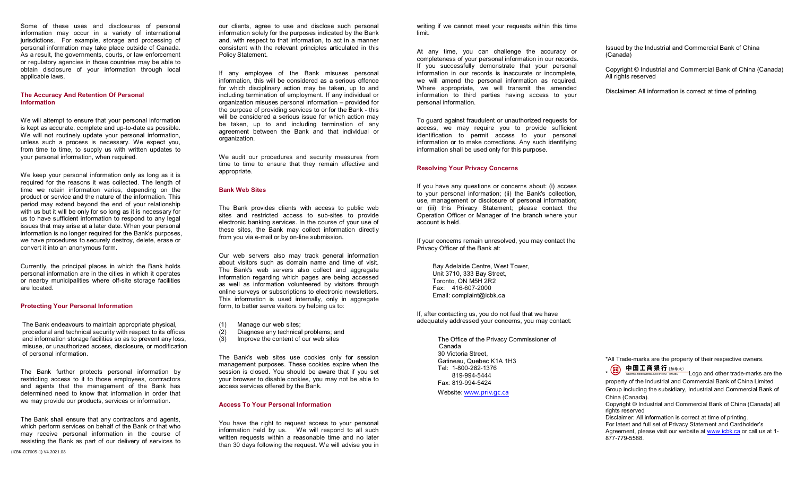Some of these uses and disclosures of personal information may occur in a variety of international jurisdictions. For example, storage and processing of personal information may take place outside of Canada. As a result, the governments, courts, or law enforcement or regulatory agencies in those countries may be able to obtain disclosure of your information through local applicable laws.

#### **The Accuracy And Retention Of Personal Information**

We will attempt to ensure that your personal information is kept as accurate, complete and up-to-date as possible. We will not routinely update your personal information. unless such a process is necessary. We expect you, from time to time, to supply us with written updates to your personal information, when required.

We keep your personal information only as long as it is required for the reasons it was collected. The length of time we retain information varies, depending on the product or service and the nature of the information. This period may extend beyond the end of your relationship with us but it will be only for so long as it is necessary for us to have sufficient information to respond to any legal issues that may arise at a later date. When your personal information is no longer required for the Bank's purposes, we have procedures to securely destroy, delete, erase or convert it into an anonymous form.

Currently, the principal places in which the Bank holds personal information are in the cities in which it operates or nearby municipalities where off-site storage facilities are located.

#### **Protecting Your Personal Information**

The Bank endeavours to maintain appropriate physical, procedural and technical security with respect to its offices and information storage facilities so as to prevent any loss, misuse, or unauthorized access, disclosure, or modification of personal information.

The Bank further protects personal information by restricting access to it to those employees, contractors and agents that the management of the Bank has determined need to know that information in order that we may provide our products, services or information.

The Bank shall ensure that any contractors and agents, which perform services on behalf of the Bank or that who may receive personal information in the course of assisting the Bank as part of our delivery of services to our clients, agree to use and disclose such personal information solely for the purposes indicated by the Bank and, with respect to that information, to act in a manner consistent with the relevant principles articulated in this Policy Statement.

If any employee of the Bank misuses personal information, this will be considered as a serious offence for which disciplinary action may be taken, up to and including termination of employment. If any individual or organization misuses personal information – provided for the purpose of providing services to or for the Bank - this will be considered a serious issue for which action may be taken, up to and including termination of any agreement between the Bank and that individual or organization.

We audit our procedures and security measures from time to time to ensure that they remain effective and appropriate.

#### **Bank Web Sites**

The Bank provides clients with access to public web sites and restricted access to sub-sites to provide electronic banking services. In the course of your use of these sites, the Bank may collect information directly from you via e-mail or by on-line submission.

Our web servers also may track general information about visitors such as domain name and time of visit. The Bank's web servers also collect and aggregate information regarding which pages are being accessed as well as information volunteered by visitors through online surveys or subscriptions to electronic newsletters. This information is used internally, only in aggregate form, to better serve visitors by helping us to:

- (1) Manage our web sites;<br>(2) Diagnose any technical
- Diagnose any technical problems; and
- (3) Improve the content of our web sites

The Bank's web sites use cookies only for session management purposes. These cookies expire when the session is closed. You should be aware that if you set your browser to disable cookies, you may not be able to access services offered by the Bank.

#### **Access To Your Personal Information**

You have the right to request access to your personal information held by us. We will respond to all such written requests within a reasonable time and no later than 30 days following the request. We will advise you in

writing if we cannot meet your requests within this time limit.

At any time, you can challenge the accuracy or completeness of your personal information in our records. If you successfully demonstrate that your personal information in our records is inaccurate or incomplete, we will amend the personal information as required. Where appropriate, we will transmit the amended information to third parties having access to your personal information.

To guard against fraudulent or unauthorized requests for access, we may require you to provide sufficient identification to permit access to your personal information or to make corrections. Any such identifying information shall be used only for this purpose.

#### **Resolving Your Privacy Concerns**

If you have any questions or concerns about: (i) access to your personal information; (ii) the Bank's collection, use, management or disclosure of personal information; or (iii) this Privacy Statement; please contact the Operation Officer or Manager of the branch where your account is held.

If your concerns remain unresolved, you may contact the Privacy Officer of the Bank at:

 Bay Adelaide Centre, West Tower, Unit 3710, 333 Bay Street, Toronto, ON M5H 2R2 Fax: 416-607-2000 Email: complaint@icbk.ca

If, after contacting us, you do not feel that we have adequately addressed your concerns, you may contact:

> The Office of the Privacy Commissioner of Canada 30 Victoria Street, Gatineau, Quebec K1A 1H3 Tel: 1-800-282-1376 819-994-5444 Fax: 819-994-5424

Website: www.priv.gc.ca

Issued by the Industrial and Commercial Bank of China (Canada)

Copyright © Industrial and Commercial Bank of China (Canada) All rights reserved

Disclaimer: All information is correct at time of printing.

\*All Trade-marks are the property of their respective owners.<br>  $\begin{array}{r} \begin{array}{c} \begin{array}{c} \hline \end{array} & \begin{array}{c} \hline \end{array} & \begin{array}{c} \hline \end{array} & \begin{array}{c} \hline \end{array} & \begin{array}{c} \hline \end{array} & \begin{array}{c} \hline \end{array} & \begin{array}{c} \hline \end{array} & \begin{array}{c} \hline \end{array} & \begin{array}{c} \hline \end{array$ 

 $\frac{1}{\sqrt{2}}$  Logo and other trade-marks are the property of the Industrial and Commercial Bank of China Limited Group including the subsidiary, Industrial and Commercial Bank of China (Canada). Copyright © Industrial and Commercial Bank of China (Canada) all rights reserved Disclaimer: All information is correct at time of printing. For latest and full set of Privacy Statement and Cardholder's Agreement, please visit our website at www.icbk.ca or call us at 1-877-779-5588.